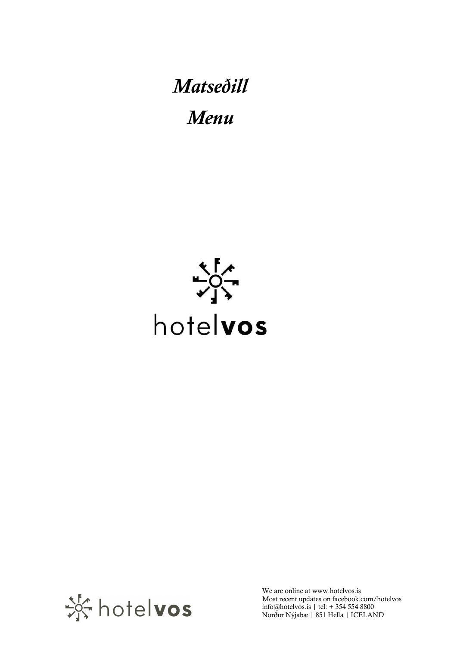Matseðill Menu





We are online at www.hotelvos.is Most recent updates on facebook.com/hotelvos info@hotelvos.is | tel: + 354 554 8800 Norður Nýjabæ | 851 Hella | ICELAND